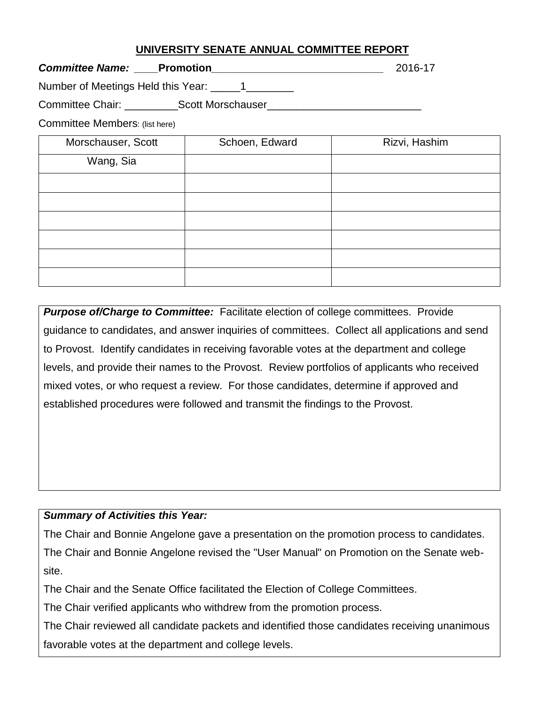## **UNIVERSITY SENATE ANNUAL COMMITTEE REPORT**

*Committee Name: \_\_\_\_***Promotion***\_\_\_\_\_\_\_\_\_\_\_\_\_\_\_\_\_\_\_\_\_\_\_\_\_\_\_\_\_* 2016-17

Number of Meetings Held this Year: \_\_\_\_\_1\_\_\_\_\_\_\_\_

Committee Chair: \_\_\_\_\_\_\_\_\_\_\_Scott Morschauser\_\_\_\_\_\_\_\_\_\_\_\_\_\_\_\_\_\_\_\_\_\_\_\_\_\_\_\_\_\_\_\_\_\_\_

Committee Members: (list here)

| Morschauser, Scott | Schoen, Edward | Rizvi, Hashim |
|--------------------|----------------|---------------|
| Wang, Sia          |                |               |
|                    |                |               |
|                    |                |               |
|                    |                |               |
|                    |                |               |
|                    |                |               |
|                    |                |               |

**Purpose of/Charge to Committee:** Facilitate election of college committees. Provide guidance to candidates, and answer inquiries of committees. Collect all applications and send to Provost. Identify candidates in receiving favorable votes at the department and college levels, and provide their names to the Provost. Review portfolios of applicants who received mixed votes, or who request a review. For those candidates, determine if approved and established procedures were followed and transmit the findings to the Provost.

## *Summary of Activities this Year:*

The Chair and Bonnie Angelone gave a presentation on the promotion process to candidates. The Chair and Bonnie Angelone revised the "User Manual" on Promotion on the Senate website.

The Chair and the Senate Office facilitated the Election of College Committees.

The Chair verified applicants who withdrew from the promotion process.

The Chair reviewed all candidate packets and identified those candidates receiving unanimous favorable votes at the department and college levels.